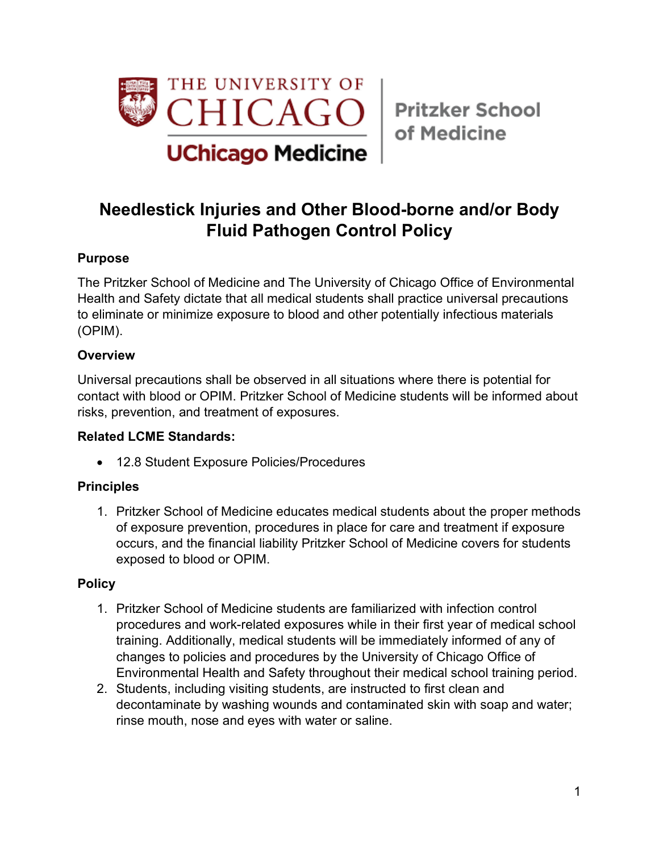

# **Needlestick Injuries and Other Blood-borne and/or Body Fluid Pathogen Control Policy**

## **Purpose**

The Pritzker School of Medicine and The University of Chicago Office of Environmental Health and Safety dictate that all medical students shall practice universal precautions to eliminate or minimize exposure to blood and other potentially infectious materials (OPIM).

### **Overview**

Universal precautions shall be observed in all situations where there is potential for contact with blood or OPIM. Pritzker School of Medicine students will be informed about risks, prevention, and treatment of exposures.

#### **Related LCME Standards:**

• 12.8 Student Exposure Policies/Procedures

## **Principles**

1. Pritzker School of Medicine educates medical students about the proper methods of exposure prevention, procedures in place for care and treatment if exposure occurs, and the financial liability Pritzker School of Medicine covers for students exposed to blood or OPIM.

## **Policy**

- 1. Pritzker School of Medicine students are familiarized with infection control procedures and work-related exposures while in their first year of medical school training. Additionally, medical students will be immediately informed of any of changes to policies and procedures by the University of Chicago Office of Environmental Health and Safety throughout their medical school training period.
- 2. Students, including visiting students, are instructed to first clean and decontaminate by washing wounds and contaminated skin with soap and water; rinse mouth, nose and eyes with water or saline.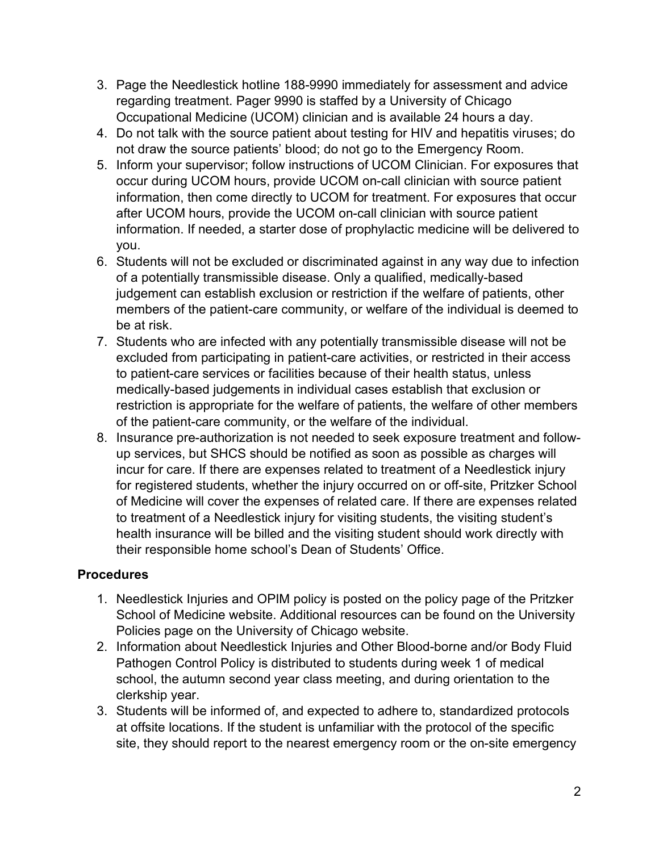- 3. Page the Needlestick hotline 188-9990 immediately for assessment and advice regarding treatment. Pager 9990 is staffed by a University of Chicago Occupational Medicine (UCOM) clinician and is available 24 hours a day.
- 4. Do not talk with the source patient about testing for HIV and hepatitis viruses; do not draw the source patients' blood; do not go to the Emergency Room.
- 5. Inform your supervisor; follow instructions of UCOM Clinician. For exposures that occur during UCOM hours, provide UCOM on-call clinician with source patient information, then come directly to UCOM for treatment. For exposures that occur after UCOM hours, provide the UCOM on-call clinician with source patient information. If needed, a starter dose of prophylactic medicine will be delivered to you.
- 6. Students will not be excluded or discriminated against in any way due to infection of a potentially transmissible disease. Only a qualified, medically-based judgement can establish exclusion or restriction if the welfare of patients, other members of the patient-care community, or welfare of the individual is deemed to be at risk.
- 7. Students who are infected with any potentially transmissible disease will not be excluded from participating in patient-care activities, or restricted in their access to patient-care services or facilities because of their health status, unless medically-based judgements in individual cases establish that exclusion or restriction is appropriate for the welfare of patients, the welfare of other members of the patient-care community, or the welfare of the individual.
- 8. Insurance pre-authorization is not needed to seek exposure treatment and followup services, but SHCS should be notified as soon as possible as charges will incur for care. If there are expenses related to treatment of a Needlestick injury for registered students, whether the injury occurred on or off-site, Pritzker School of Medicine will cover the expenses of related care. If there are expenses related to treatment of a Needlestick injury for visiting students, the visiting student's health insurance will be billed and the visiting student should work directly with their responsible home school's Dean of Students' Office.

## **Procedures**

- 1. Needlestick Injuries and OPIM policy is posted on the policy page of the Pritzker School of Medicine website. Additional resources can be found on the University Policies page on the University of Chicago website.
- 2. Information about Needlestick Injuries and Other Blood-borne and/or Body Fluid Pathogen Control Policy is distributed to students during week 1 of medical school, the autumn second year class meeting, and during orientation to the clerkship year.
- 3. Students will be informed of, and expected to adhere to, standardized protocols at offsite locations. If the student is unfamiliar with the protocol of the specific site, they should report to the nearest emergency room or the on-site emergency